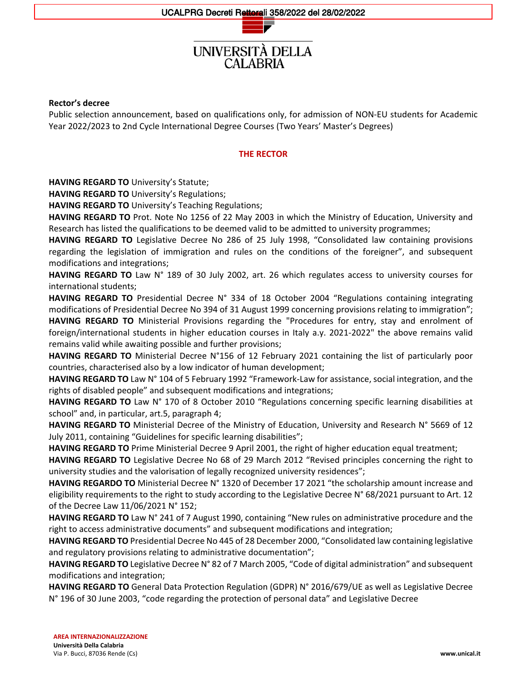# UNIVERSITÀ DELLA CAL ABRIA

#### **Rector's decree**

Public selection announcement, based on qualifications only, for admission of NON-EU students for Academic Year 2022/2023 to 2nd Cycle International Degree Courses (Two Years' Master's Degrees)

#### **THE RECTOR**

**HAVING REGARD TO** University's Statute;

**HAVING REGARD TO** University's Regulations;

**HAVING REGARD TO** University's Teaching Regulations;

**HAVING REGARD TO** Prot. Note No 1256 of 22 May 2003 in which the Ministry of Education, University and Research has listed the qualifications to be deemed valid to be admitted to university programmes;

**HAVING REGARD TO** Legislative Decree No 286 of 25 July 1998, "Consolidated law containing provisions regarding the legislation of immigration and rules on the conditions of the foreigner", and subsequent modifications and integrations;

**HAVING REGARD TO** Law N° 189 of 30 July 2002, art. 26 which regulates access to university courses for international students;

**HAVING REGARD TO** Presidential Decree N° 334 of 18 October 2004 "Regulations containing integrating modifications of Presidential Decree No 394 of 31 August 1999 concerning provisions relating to immigration"; **HAVING REGARD TO** Ministerial Provisions regarding the "Procedures for entry, stay and enrolment of foreign/international students in higher education courses in Italy a.y. 2021-2022" the above remains valid remains valid while awaiting possible and further provisions;

**HAVING REGARD TO** Ministerial Decree N°156 of 12 February 2021 containing the list of particularly poor countries, characterised also by a low indicator of human development;

**HAVING REGARD TO** Law N° 104 of 5 February 1992 "Framework-Law for assistance, social integration, and the rights of disabled people" and subsequent modifications and integrations;

**HAVING REGARD TO** Law N° 170 of 8 October 2010 "Regulations concerning specific learning disabilities at school" and, in particular, art.5, paragraph 4;

**HAVING REGARD TO** Ministerial Decree of the Ministry of Education, University and Research N° 5669 of 12 July 2011, containing "Guidelines for specific learning disabilities";

**HAVING REGARD TO** Prime Ministerial Decree 9 April 2001, the right of higher education equal treatment;

**HAVING REGARD TO** Legislative Decree No 68 of 29 March 2012 "Revised principles concerning the right to university studies and the valorisation of legally recognized university residences";

**HAVING REGARDO TO** Ministerial Decree N° 1320 of December 17 2021 "the scholarship amount increase and eligibility requirements to the right to study according to the Legislative Decree N° 68/2021 pursuant to Art. 12 of the Decree Law 11/06/2021 N° 152;

**HAVING REGARD TO** Law N° 241 of 7 August 1990, containing "New rules on administrative procedure and the right to access administrative documents" and subsequent modifications and integration;

**HAVING REGARD TO** Presidential Decree No 445 of 28 December 2000, "Consolidated law containing legislative and regulatory provisions relating to administrative documentation";

**HAVING REGARD TO** Legislative Decree N° 82 of 7 March 2005, "Code of digital administration" and subsequent modifications and integration;

**HAVING REGARD TO** General Data Protection Regulation (GDPR) N° 2016/679/UE as well as Legislative Decree N° 196 of 30 June 2003, "code regarding the protection of personal data" and Legislative Decree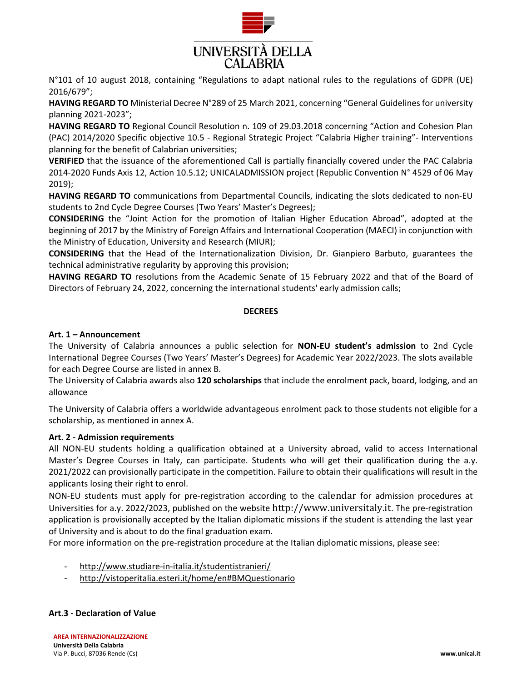

N°101 of 10 august 2018, containing "Regulations to adapt national rules to the regulations of GDPR (UE) 2016/679";

**HAVING REGARD TO** Ministerial Decree N°289 of 25 March 2021, concerning "General Guidelines for university planning 2021-2023";

**HAVING REGARD TO** Regional Council Resolution n. 109 of 29.03.2018 concerning "Action and Cohesion Plan (PAC) 2014/2020 Specific objective 10.5 - Regional Strategic Project "Calabria Higher training"- Interventions planning for the benefit of Calabrian universities;

**VERIFIED** that the issuance of the aforementioned Call is partially financially covered under the PAC Calabria 2014-2020 Funds Axis 12, Action 10.5.12; UNICALADMISSION project (Republic Convention N° 4529 of 06 May 2019);

**HAVING REGARD TO** communications from Departmental Councils, indicating the slots dedicated to non-EU students to 2nd Cycle Degree Courses (Two Years' Master's Degrees);

**CONSIDERING** the "Joint Action for the promotion of Italian Higher Education Abroad", adopted at the beginning of 2017 by the Ministry of Foreign Affairs and International Cooperation (MAECI) in conjunction with the Ministry of Education, University and Research (MIUR);

**CONSIDERING** that the Head of the Internationalization Division, Dr. Gianpiero Barbuto, guarantees the technical administrative regularity by approving this provision;

**HAVING REGARD TO** resolutions from the Academic Senate of 15 February 2022 and that of the Board of Directors of February 24, 2022, concerning the international students' early admission calls;

# **DECREES**

# **Art. 1 – Announcement**

The University of Calabria announces a public selection for **NON-EU student's admission** to 2nd Cycle International Degree Courses (Two Years' Master's Degrees) for Academic Year 2022/2023. The slots available for each Degree Course are listed in annex B.

The University of Calabria awards also **120 scholarships** that include the enrolment pack, board, lodging, and an allowance

The University of Calabria offers a worldwide advantageous enrolment pack to those students not eligible for a scholarship, as mentioned in annex A.

# **Art. 2 - Admission requirements**

All NON-EU students holding a qualification obtained at a University abroad, valid to access International Master's Degree Courses in Italy, can participate. Students who will get their qualification during the a.y. 2021/2022 can provisionally participate in the competition. Failure to obtain their qualifications will result in the applicants losing their right to enrol.

NON-EU students must apply for pre-registration according to the [calendar](http://www.studiare-in-italia.it/studentistranieri/moduli/2018/CalendrioUni.pdf) for admission procedures at Universities for a.y. 2022/2023, published on the website [http://www.universitaly.it](http://www.universitaly.it/). The pre-registration application is provisionally accepted by the Italian diplomatic missions if the student is attending the last year of University and is about to do the final graduation exam.

For more information on the pre-registration procedure at the Italian diplomatic missions, please see:

- <http://www.studiare-in-italia.it/studentistranieri/>
- <http://vistoperitalia.esteri.it/home/en#BMQuestionario>

# **Art.3 - Declaration of Value**

**AREA INTERNAZIONALIZZAZIONE Università Della Calabria** Via P. Bucci, 87036 Rende (Cs) **www.unical.it**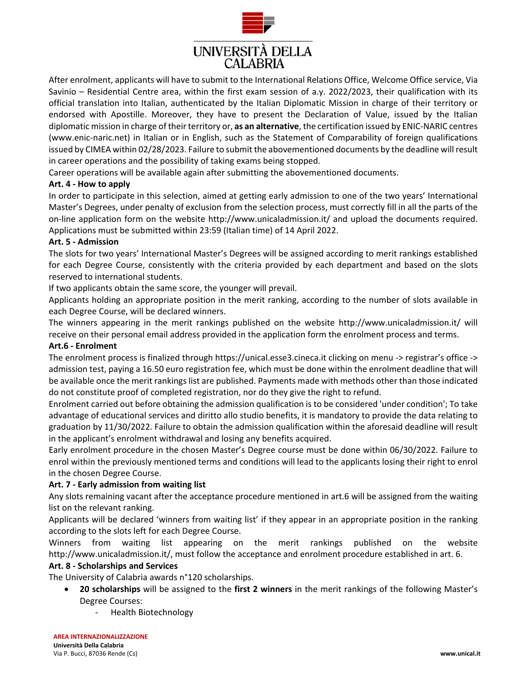

After enrolment, applicants will have to submit to the International Relations Office, Welcome Office service, Via Savinio – Residential Centre area, within the first exam session of a.y. 2022/2023, their qualification with its official translation into Italian, authenticated by the Italian Diplomatic Mission in charge of their territory or endorsed with Apostille. Moreover, they have to present the Declaration of Value, issued by the Italian diplomatic mission in charge of their territory or, **as an alternative**, the certification issued by ENIC-NARIC centres (www.enic-naric.net) in Italian or in English, such as the Statement of Comparability of foreign qualifications issued by CIMEA within 02/28/2023. Failure to submit the abovementioned documents by the deadline will result in career operations and the possibility of taking exams being stopped.

Career operations will be available again after submitting the abovementioned documents.

### **Art. 4 - How to apply**

In order to participate in this selection, aimed at getting early admission to one of the two years' International Master's Degrees, under penalty of exclusion from the selection process, must correctly fill in all the parts of the on-line application form on the website<http://www.unicaladmission.it/> and upload the documents required. Applications must be submitted within 23:59 (Italian time) of 14 April 2022.

### **Art. 5 - Admission**

The slots for two years' International Master's Degrees will be assigned according to merit rankings established for each Degree Course, consistently with the criteria provided by each department and based on the slots reserved to international students.

If two applicants obtain the same score, the younger will prevail.

Applicants holding an appropriate position in the merit ranking, according to the number of slots available in each Degree Course, will be declared winners.

The winners appearing in the merit rankings published on the website <http://www.unicaladmission.it/> will receive on their personal email address provided in the application form the enrolment process and terms.

#### **Art.6 - Enrolment**

The enrolment process is finalized through https://unical.esse3.cineca.it clicking on menu -> registrar's office -> admission test, paying a 16.50 euro registration fee, which must be done within the enrolment deadline that will be available once the merit rankings list are published. Payments made with methods other than those indicated do not constitute proof of completed registration, nor do they give the right to refund.

Enrolment carried out before obtaining the admission qualification is to be considered 'under condition'; To take advantage of educational services and diritto allo studio benefits, it is mandatory to provide the data relating to graduation by 11/30/2022. Failure to obtain the admission qualification within the aforesaid deadline will result in the applicant's enrolment withdrawal and losing any benefits acquired.

Early enrolment procedure in the chosen Master's Degree course must be done within 06/30/2022. Failure to enrol within the previously mentioned terms and conditions will lead to the applicants losing their right to enrol in the chosen Degree Course.

# **Art. 7 - Early admission from waiting list**

Any slots remaining vacant after the acceptance procedure mentioned in art.6 will be assigned from the waiting list on the relevant ranking.

Applicants will be declared 'winners from waiting list' if they appear in an appropriate position in the ranking according to the slots left for each Degree Course.

Winners from waiting list appearing on the merit rankings published on the website <http://www.unicaladmission.it/,> must follow the acceptance and enrolment procedure established in art. 6.

#### **Art. 8 - Scholarships and Services**

The University of Calabria awards n°120 scholarships.

- **20 scholarships** will be assigned to the **first 2 winners** in the merit rankings of the following Master's Degree Courses:
	- Health Biotechnology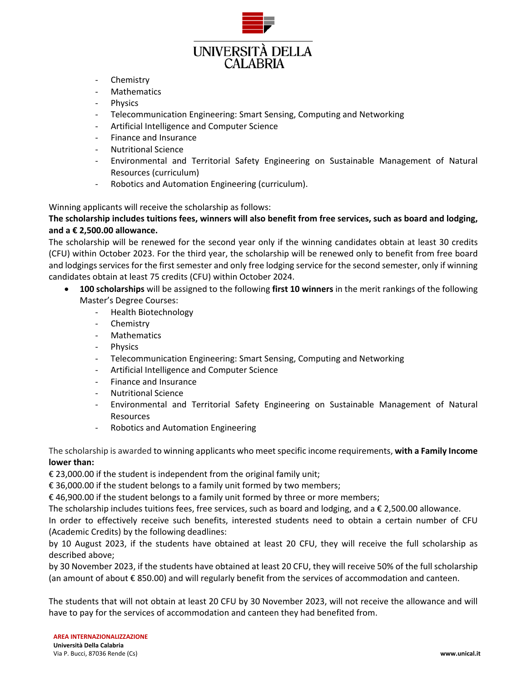

- Chemistry
- Mathematics
- Physics
- Telecommunication Engineering: Smart Sensing, Computing and Networking
- Artificial Intelligence and Computer Science
- Finance and Insurance
- Nutritional Science
- Environmental and Territorial Safety Engineering on Sustainable Management of Natural Resources (curriculum)
- Robotics and Automation Engineering (curriculum).

Winning applicants will receive the scholarship as follows:

# **The scholarship includes tuitions fees, winners will also benefit from free services, such as board and lodging, and a € 2,500.00 allowance.**

The scholarship will be renewed for the second year only if the winning candidates obtain at least 30 credits (CFU) within October 2023. For the third year, the scholarship will be renewed only to benefit from free board and lodgings services for the first semester and only free lodging service for the second semester, only if winning candidates obtain at least 75 credits (CFU) within October 2024.

- **100 scholarships** will be assigned to the following **first 10 winners** in the merit rankings of the following Master's Degree Courses:
	- Health Biotechnology
	- Chemistry
	- **Mathematics**
	- Physics
	- Telecommunication Engineering: Smart Sensing, Computing and Networking
	- Artificial Intelligence and Computer Science
	- Finance and Insurance
	- Nutritional Science
	- Environmental and Territorial Safety Engineering on Sustainable Management of Natural Resources
	- Robotics and Automation Engineering

# The scholarship is awarded to winning applicants who meet specific income requirements, **with a Family Income lower than:**

€ 23,000.00 if the student is independent from the original family unit;

€ 36,000.00 if the student belongs to a family unit formed by two members;

€ 46,900.00 if the student belongs to a family unit formed by three or more members;

The scholarship includes tuitions fees, free services, such as board and lodging, and a € 2,500.00 allowance.

In order to effectively receive such benefits, interested students need to obtain a certain number of CFU (Academic Credits) by the following deadlines:

by 10 August 2023, if the students have obtained at least 20 CFU, they will receive the full scholarship as described above;

by 30 November 2023, if the students have obtained at least 20 CFU, they will receive 50% of the full scholarship (an amount of about € 850.00) and will regularly benefit from the services of accommodation and canteen.

The students that will not obtain at least 20 CFU by 30 November 2023, will not receive the allowance and will have to pay for the services of accommodation and canteen they had benefited from.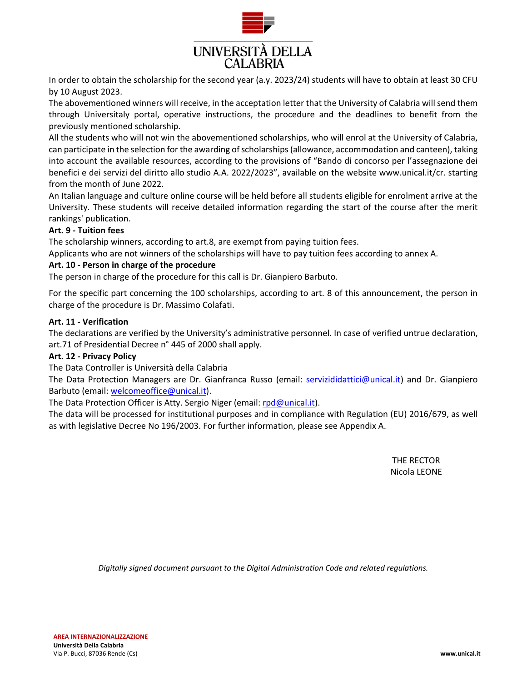

In order to obtain the scholarship for the second year (a.y. 2023/24) students will have to obtain at least 30 CFU by 10 August 2023.

The abovementioned winners will receive, in the acceptation letter that the University of Calabria will send them through Universitaly portal, operative instructions, the procedure and the deadlines to benefit from the previously mentioned scholarship.

All the students who will not win the abovementioned scholarships, who will enrol at the University of Calabria, can participate in the selection for the awarding of scholarships (allowance, accommodation and canteen), taking into account the available resources, according to the provisions of "Bando di concorso per l'assegnazione dei benefici e dei servizi del diritto allo studio A.A. 2022/2023", available on the website www.unical.it/cr. starting from the month of June 2022.

An Italian language and culture online course will be held before all students eligible for enrolment arrive at the University. These students will receive detailed information regarding the start of the course after the merit rankings' publication.

# **Art. 9 - Tuition fees**

The scholarship winners, according to art.8, are exempt from paying tuition fees.

Applicants who are not winners of the scholarships will have to pay tuition fees according to annex A.

# **Art. 10 - Person in charge of the procedure**

The person in charge of the procedure for this call is Dr. Gianpiero Barbuto.

For the specific part concerning the 100 scholarships, according to art. 8 of this announcement, the person in charge of the procedure is Dr. Massimo Colafati.

### **Art. 11 - Verification**

The declarations are verified by the University's administrative personnel. In case of verified untrue declaration, art.71 of Presidential Decree n° 445 of 2000 shall apply.

# **Art. 12 - Privacy Policy**

The Data Controller is Università della Calabria

The Data Protection Managers are Dr. Gianfranca Russo (email: servizididattici@unical.it) and Dr. Gianpiero Barbuto (email: welcomeoffice@unical.it).

The Data Protection Officer is Atty. Sergio Niger (email: rpd@unical.it).

The data will be processed for institutional purposes and in compliance with Regulation (EU) 2016/679, as well as with legislative Decree No 196/2003. For further information, please see Appendix A.

> THE RECTOR Nicola LEONE

*Digitally signed document pursuant to the Digital Administration Code and related regulations.*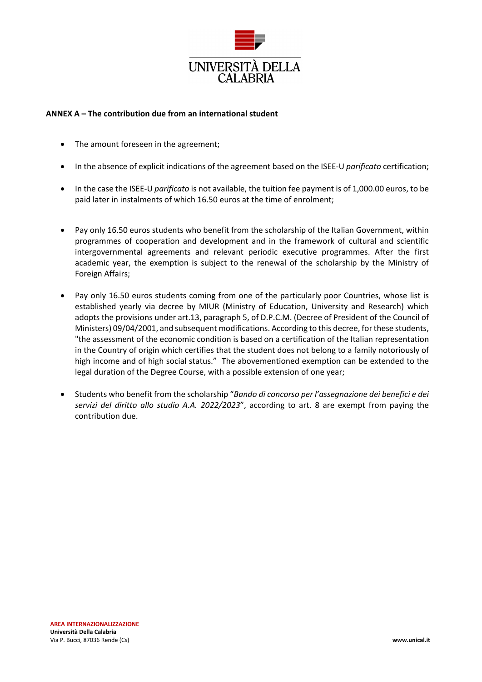

# **ANNEX A – The contribution due from an international student**

- The amount foreseen in the agreement;
- In the absence of explicit indications of the agreement based on the ISEE-U *parificato* certification;
- In the case the ISEE-U *parificato* is not available, the tuition fee payment is of 1,000.00 euros, to be paid later in instalments of which 16.50 euros at the time of enrolment;
- Pay only 16.50 euros students who benefit from the scholarship of the Italian Government, within programmes of cooperation and development and in the framework of cultural and scientific intergovernmental agreements and relevant periodic executive programmes. After the first academic year, the exemption is subject to the renewal of the scholarship by the Ministry of Foreign Affairs;
- Pay only 16.50 euros students coming from one of the particularly poor Countries, whose list is established yearly via decree by MIUR (Ministry of Education, University and Research) which adopts the provisions under art.13, paragraph 5, of D.P.C.M. (Decree of President of the Council of Ministers) 09/04/2001, and subsequent modifications. According to this decree, for these students, "the assessment of the economic condition is based on a certification of the Italian representation in the Country of origin which certifies that the student does not belong to a family notoriously of high income and of high social status." The abovementioned exemption can be extended to the legal duration of the Degree Course, with a possible extension of one year;
- Students who benefit from the scholarship "*Bando di concorso per l'assegnazione dei benefici e dei servizi del diritto allo studio A.A. 2022/2023*", according to art. 8 are exempt from paying the contribution due.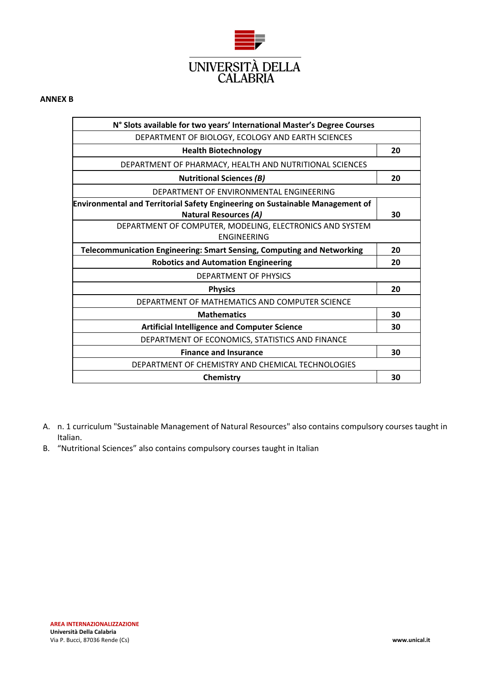

#### **ANNEX B**

| N° Slots available for two years' International Master's Degree Courses              |    |
|--------------------------------------------------------------------------------------|----|
| DEPARTMENT OF BIOLOGY, ECOLOGY AND EARTH SCIENCES                                    |    |
| <b>Health Biotechnology</b>                                                          | 20 |
| DEPARTMENT OF PHARMACY, HEALTH AND NUTRITIONAL SCIENCES                              |    |
| <b>Nutritional Sciences (B)</b>                                                      | 20 |
| DEPARTMENT OF ENVIRONMENTAL ENGINEERING                                              |    |
| <b>Environmental and Territorial Safety Engineering on Sustainable Management of</b> |    |
| <b>Natural Resources (A)</b>                                                         | 30 |
| DEPARTMENT OF COMPUTER, MODELING, ELECTRONICS AND SYSTEM                             |    |
| <b>ENGINEERING</b>                                                                   |    |
| <b>Telecommunication Engineering: Smart Sensing, Computing and Networking</b>        | 20 |
| <b>Robotics and Automation Engineering</b>                                           | 20 |
| DEPARTMENT OF PHYSICS                                                                |    |
| <b>Physics</b>                                                                       | 20 |
| DEPARTMENT OF MATHEMATICS AND COMPUTER SCIENCE                                       |    |
| <b>Mathematics</b>                                                                   | 30 |
| <b>Artificial Intelligence and Computer Science</b>                                  | 30 |
| DEPARTMENT OF ECONOMICS, STATISTICS AND FINANCE                                      |    |
| <b>Finance and Insurance</b>                                                         | 30 |
| DEPARTMENT OF CHEMISTRY AND CHEMICAL TECHNOLOGIES                                    |    |
| Chemistry                                                                            | 30 |

- A. n. 1 curriculum "Sustainable Management of Natural Resources" also contains compulsory courses taught in Italian.
- B. "Nutritional Sciences" also contains compulsory courses taught in Italian